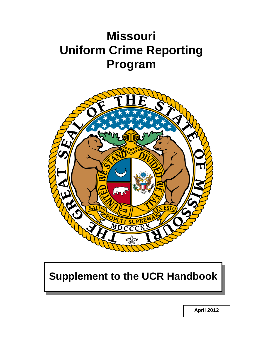# **Missouri Uniform Crime Reporting Program**



## **Supplement to the UCR Handbook**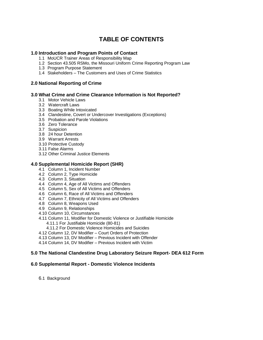### **TABLE OF CONTENTS**

### **1.0 Introduction and Program Points of Contact**

- 1.1 MoUCR Trainer Areas of Responsibility Map
- 1.2 Section 43.505 RSMo, the Missouri Uniform Crime Reporting Program Law
- 1.3 Program Purpose Statement
- 1.4 Stakeholders The Customers and Uses of Crime Statistics

### **2.0 National Reporting of Crime**

### **3.0 What Crime and Crime Clearance Information is Not Reported?**

- 3.1 Motor Vehicle Laws
- 3.2 Watercraft Laws
- 3.3 Boating While Intoxicated
- 3.4 Clandestine, Covert or Undercover Investigations (Exceptions)
- 3.5 Probation and Parole Violations
- 3.6 Zero Tolerance
- 3.7 Suspicion
- 3.8 24 hour Detention
- 3.9 Warrant Arrests
- 3.10 Protective Custody
- 3.11 False Alarms
- 3.12 Other Criminal Justice Elements

### **4.0 Supplemental Homicide Report (SHR)**

- 4.1 Column 1, Incident Number
- 4.2 Column 2, Type Homicide
- 4.3 Column 3, Situation
- 4.4 Column 4, Age of All Victims and Offenders
- 4.5 Column 5, Sex of All Victims and Offenders
- 4.6 Column 6, Race of All Victims and Offenders
- 4.7 Column 7, Ethnicity of All Victims and Offenders
- 4.8 Column 8, Weapons Used
- 4.9 Column 9, Relationships
- 4.10 Column 10, Circumstances
- 4.11 Column 11, Modifier for Domestic Violence or Justifiable Homicide 4.11.1 For Justifiable Homicide (80-81)
	- 4.11.2 For Domestic Violence Homicides and Suicides
- 4.12 Column 12, DV Modifier Court Orders of Protection
- 4.13 Column 13, DV Modifier Previous Incident with Offender
- 4.14 Column 14, DV Modifier Previous Incident with Victim

### **5.0 The National Clandestine Drug Laboratory Seizure Report- DEA 612 Form**

### **6.0 Supplemental Report - Domestic Violence Incidents**

6.1 Background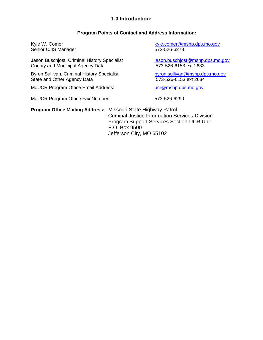### **1.0 Introduction:**

### **Program Points of Contact and Address Information:**

Kyle W. Comer **Kyle.comer@mshp.dps.mo.gov** Senior CJIS Manager 573-526-6278 Jason Buschjost, Criminal History Specialist *jason.buschjost@mshp.dps.mo.gov*<br>County and Municipal Agency Data **in the senator of the state of 573-526-6153** ext 2633 County and Municipal Agency Data Byron Sullivan, Criminal History Specialist [byron.sullivan@mshp.dps.mo.gov](mailto:chad.mengwasser@mshp.dps.mo.gov) State and Other Agency Data 573-526-6153 ext 2634 MoUCR Program Office Email Address: under the [ucr@mshp.dps.mo.gov](mailto:ucr@mshp.dps.mo.gov) MoUCR Program Office Fax Number: 573-526-6290 **Program Office Mailing Address:** Missouri State Highway Patrol Criminal Justice Information Services Division

Program Support Services Section-UCR Unit P.O. Box 9500 Jefferson City, MO 65102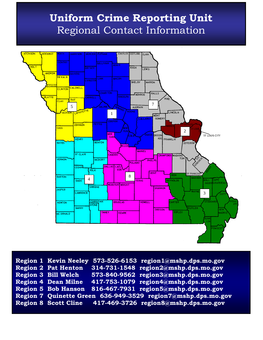## **Uniform Crime Reporting Unit** Regional Contact Information



**Region 1 Kevin Neeley 573-526-6153 region1@mshp.dps.mo.gov Region 2 Pat Henton 314-731-1548 region2@mshp.dps.mo.gov Region 3 Bill Welch 573-840-9562 region3@mshp.dps.mo.gov Region 4 Dean Milne 417-753-1079 region4@mshp.dps.mo.gov Region 5 Bob Hanson 816-467-7931 region5@mshp.dps.mo.gov Region 7 Quinette Green 636-949-3529 region7@mshp.dps.mo.gov Region 8 Scott Cline 417-469-3726 region8@mshp.dps.mo.gov**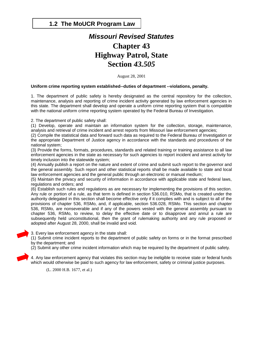### **1.2 The MoUCR Program Law**

## *Missouri Revised Statutes* **Chapter 43 Highway Patrol, State Section** *43.505*

August 28, 2001

### **Uniform crime reporting system established--duties of department --violations, penalty.**

1. The department of public safety is hereby designated as the central repository for the collection, maintenance, analysis and reporting of crime incident activity generated by law enforcement agencies in this state. The department shall develop and operate a uniform crime reporting system that is compatible with the national uniform crime reporting system operated by the Federal Bureau of Investigation.

2. The department of public safety shall:

(1) Develop, operate and maintain an information system for the collection, storage, maintenance, analysis and retrieval of crime incident and arrest reports from Missouri law enforcement agencies;

(2) Compile the statistical data and forward such data as required to the Federal Bureau of Investigation or the appropriate Department of Justice agency in accordance with the standards and procedures of the national system;

(3) Provide the forms, formats, procedures, standards and related training or training assistance to all law enforcement agencies in the state as necessary for such agencies to report incident and arrest activity for timely inclusion into the statewide system;

(4) Annually publish a report on the nature and extent of crime and submit such report to the governor and the general assembly. Such report and other statistical reports shall be made available to state and local law enforcement agencies and the general public through an electronic or manual medium;

(5) Maintain the privacy and security of information in accordance with applicable state and federal laws, regulations and orders; and

(6) Establish such rules and regulations as are necessary for implementing the provisions of this section. Any rule or portion of a rule, as that term is defined in section 536.010, RSMo, that is created under the authority delegated in this section shall become effective only if it complies with and is subject to all of the provisions of chapter 536, RSMo, and, if applicable, section 536.028, RSMo. This section and chapter 536, RSMo, are nonseverable and if any of the powers vested with the general assembly pursuant to chapter 536, RSMo, to review, to delay the effective date or to disapprove and annul a rule are subsequently held unconstitutional, then the grant of rulemaking authority and any rule proposed or adopted after August 28, 2000, shall be invalid and void.

3. Every law enforcement agency in the state shall:

(1) Submit crime incident reports to the department of public safety on forms or in the format prescribed by the department; and

(2) Submit any other crime incident information which may be required by the department of public safety.

4. Any law enforcement agency that violates this section may be ineligible to receive state or federal funds which would otherwise be paid to such agency for law enforcement, safety or criminal justice purposes.

(L. 2000 H.B. 1677, et al.)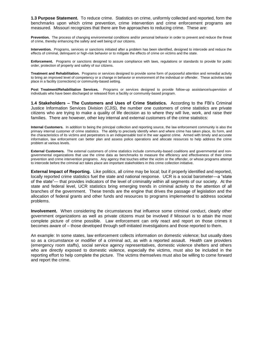**1.3 Purpose Statement.** To reduce crime. Statistics on crime, uniformly collected and reported, form the benchmarks upon which crime prevention, crime intervention and crime enforcement programs are measured. Missouri recognizes that there are five approaches to reducing crime. These are:

**Prevention.** The process of changing environmental conditions and/or personal behavior in order to prevent and reduce the threat of crime, thereby enhancing the safety and well being of our citizens.

**Intervention.** Programs, services or sanctions initiated after a problem has been identified, designed to intercede and reduce the effects of criminal, delinquent or high-risk behavior or to mitigate the effects of crime on victims and the state.

**Enforcement.** Programs or sanctions designed to assure compliance with laws, regulations or standards to provide for public order, protection of property and safety of our citizens.

**Treatment and Rehabilitation.** Programs or services designed to provide some form of purposeful attention and remedial activity to bring an improved level of competency or a change in behavior or environment of the individual or offender. These activities take place in a facility (corrections) or community-based setting.

**Post Treatment/Rehabilitation Services.** Programs or services designed to provide follow-up assistance/supervision of individuals who have been discharged or released from a facility or community-based program.

**1.4 Stakeholders – The Customers and Uses of Crime Statistics.** According to the FBI's Criminal Justice Information Services Division (CJIS), the number one customers of crime statistics are private citizens who are trying to make a quality of life decision as to where they will live, work, and raise their families. There are however, other key internal and external customers of the crime statistics:

**Internal Customers.** In addition to being the principal collection and reporting source, the law enforcement community is also the primary internal customer of crime statistics. The ability to precisely identify when and where crime has taken place, its form, and the characteristics of its victims and perpetrators is an indispensable tool in the war against crime. Armed with timely and accurate information, law enforcement can better plan and assess police operations and allocate resources to help address the crime problem at various levels.

**External Customers.** The external customers of crime statistics include community-based coalitions and governmental and nongovernmental organizations that use the crime data as benchmarks to measure the efficiency and effectiveness of their crime prevention and crime intervention programs. Any agency that touches either the victim or the offender, or whose programs attempt to intercede before the criminal act takes place are important stakeholders in this crime collection initiative.

**External Impact of Reporting.** Like politics, all crime may be local; but if properly identified and reported, locally reported crime statistics fuel the state and national response. UCR is a social barometer—a "state" of the state"— that provides indicators of the level of criminality within all segments of our society. At the state and federal level, UCR statistics bring emerging trends in criminal activity to the attention of all branches of the government. These trends are the engine that drives the passage of legislation and the allocation of federal grants and other funds and resources to programs implemented to address societal problems.

**Involvement.** When considering the circumstances that influence some criminal conduct, clearly other government organizations as well as private citizens must be involved if Missouri is to attain the most complete picture of crime possible. Law enforcement can only react and report on those crimes it becomes aware of – those developed through self-initiated investigations and those reported to them.

An example: In some states, law enforcement collects information on domestic violence; but usually does so as a circumstance or modifier of a criminal act, as with a reported assault. Health care providers (emergency room staffs), social service agency representatives, domestic violence shelters and others who are directly exposed to domestic violence, especially the victims, must also be included in the reporting effort to help complete the picture. The victims themselves must also be willing to come forward and report the crime.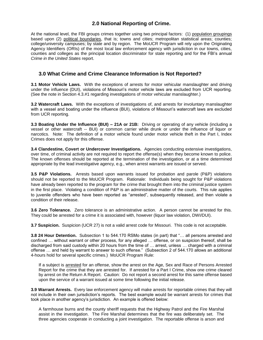### **2.0 National Reporting of Crime.**

At the national level, the FBI groups crimes together using two principal factors: (1) population groupings based upon (2) political boundaries, that is; towns and cities; metropolitan statistical areas; counties; college/university campuses; by state and by region. The MoUCR Program will rely upon the Originating Agency Identifiers (ORIs) of the most local law enforcement agency with jurisdiction in our towns, cities, counties and colleges as the principal location discriminator for state reporting and for the FBI's annual *Crime in the United States* report.

### **3.0 What Crime and Crime Clearance Information is Not Reported?**

**3.1 Motor Vehicle Laws.** With the exceptions of arrests for motor vehicular manslaughter and driving under the influence (DUI), violations of Missouri's motor vehicle laws are excluded from UCR reporting. (See the note in Section 4.3.#1 regarding investigations of motor vehicular manslaughter.)

**3.2 Watercraft Laws.** With the exceptions of investigations of, and arrests for involuntary manslaughter with a vessel and boating under the influence (BUI), violations of Missouri's watercraft laws are excluded from UCR reporting.

**3.3 Boating Under the Influence (BUI) – 21A or 21B:** Driving or operating of any vehicle (including a vessel or other watercraft -- BUI) or common carrier while drunk or under the influence of liquor or narcotics. Note: The definition of a motor vehicle found under motor vehicle theft in the Part I, Index Crimes does not apply for this offense.

**3.4 Clandestine, Covert or Undercover Investigations.** Agencies conducting extensive investigations, over time, of criminal activity are not required to report the offense(s) when they become known to police. The known offenses should be reported at the termination of the investigation, or at a time determined appropriate by the lead investigative agency, e.g., when arrest warrants are issued or served.

**3.5 P&P Violations.** Arrests based upon warrants issued for probation and parole (P&P) violations should not be reported to the MoUCR Program. Rationale: Individuals being sought for P&P violations have already been reported to the program for the crime that brought them into the criminal justice system in the first place. Violating a condition of P&P is an administrative matter of the courts. This rule applies to juvenile offenders who have been reported as "arrested", subsequently released, and then violate a condition of their release.

**3.6 Zero Tolerance.** Zero tolerance is an administrative action. A person cannot be arrested for this. They could be arrested for a crime it is associated with, however (liquor law violation, DWI/DUI).

**3.7 Suspicion.** Suspicion (UCR 27) is not a valid arrest code for Missouri. This code is not acceptable.

**3.8 24 Hour Detention.** Subsection 1 to 544.170 RSMo states (in part) that "... all persons arrested and confined … without warrant or other process, for any alleged … offense, or on suspicion thereof, shall be discharged from said custody within 20 hours from the time of … arrest, unless … charged with a criminal offense … and held by warrant to answer to such offense.‖ (Subsection 2 of 544.170 allows an additional 4-hours hold for several specific crimes.) MoUCR Program Rule:

If a subject is arrested for an offense, show the arrest on the Age, Sex and Race of Persons Arrested Report for the crime that they are arrested for. If arrested for a Part I Crime, show one crime cleared by arrest on the Return A Report. Caution: Do not report a second arrest for this same offense based upon the service of a warrant issued at some time following the initial release.

**3.9 Warrant Arrests.** Every law enforcement agency will make arrests for reportable crimes that they will not include in their own jurisdiction's reports. The best example would be warrant arrests for crimes that took place in another agency's jurisdiction. An example is offered below:

A farmhouse burns and the county sheriff requests that the Highway Patrol and the Fire Marshal assist in the investigation. The Fire Marshal determines that the fire was deliberately set. The three agencies cooperate in conducting a joint investigation. The reportable offense is arson and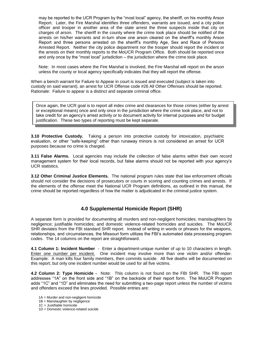may be reported to the UCR Program by the "most local" agency, the sheriff, on his monthly Arson Report. Later, the Fire Marshal identifies three offenders, warrants are issued, and a city police officer and trooper in another area of the state arrest the three suspects inside that city on charges of arson. The sheriff in the county where the crime took place should be notified of the arrests on his/her warrants and in-turn show one arson cleared on the sheriff's monthly Arson Report and three persons arrested on the sheriff's monthly Age, Sex and Race of Persons Arrested Report. Neither the city police department nor the trooper should report the incident or the arrests on their monthly reports to the MoUCR Program Office. Both should be reported once and only once by the "most local" jurisdiction – the jurisdiction where the crime took place.

Note: In most cases where the Fire Marshal is involved, the Fire Marshal will report on the arson unless the county or local agency specifically indicates that they will report the offense.

When a bench warrant for Failure to Appear in court is issued and executed (subject is taken into custody on said warrant), an arrest for UCR Offense code #26 All Other Offenses should be reported. Rationale: Failure to appear is a distinct and separate criminal office.

Once again, the UCR goal is to report all index crime and clearances for those crimes (either by arrest or exceptional means) once and only once in the jurisdiction where the crime took place, and not to take credit for an agency's arrest activity or to document activity for internal purposes and for budget justification. These two types of reporting must be kept separate.

**3.10 Protective Custody.** Taking a person into protective custody for intoxication, psychiatric evaluation, or other "safe-keeping" other than runaway minors is not considered an arrest for UCR purposes because no crime is charged.

**3.11 False Alarms.** Local agencies may include the collection of false alarms within their own record management system for their local records, but false alarms should not be reported with your agency's UCR statistics.

**3.12 Other Criminal Justice Elements.** The national program rules state that law enforcement officials should not consider the decisions of prosecutors or courts in scoring and counting crimes and arrests. If the elements of the offense meet the National UCR Program definitions, as outlined in this manual, the crime should be reported regardless of how the matter is adjudicated in the criminal justice system.

### **4.0 Supplemental Homicide Report (SHR)**

A separate form is provided for documenting all murders and non-negligent homicides; manslaughters by negligence; justifiable homicides; and domestic violence-related homicides and suicides. The MoUCR SHR deviates from the FBI standard SHR report. Instead of writing in words or phrases for the weapons, relationships, and circumstances, the Missouri form utilizes the FBI's automated data processing program codes. The 14 columns on the report are straightforward.

**4.1 Column 1: Incident Number** - Enter a department-unique number of up to 10 characters in length. Enter one number per incident. One incident may involve more than one victim and/or offender. Example: A man kills four family members, then commits suicide. All five deaths will be documented on this report; but only one incident number would be used for all five victims.

**4.2 Column 2: Type Homicide -** Note: This column is not found on the FBI SHR. The FBI report addresses "1A" on the front side and "1B" on the backside of their report form. The MoUCR Program adds "1C" and "1D" and eliminates the need for submitting a two-page report unless the number of victims and offenders exceed the lines provided. Possible entries are:

- 1A = Murder and non-negligent homicide
- 1B = Manslaughter by negligence
- 1C = Justifiable homicide
- 1D = Domestic violence-related suicide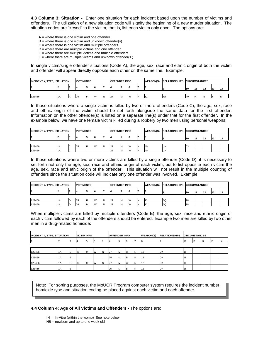**4.3 Column 3: Situation -** Enter one situation for each incident based upon the number of victims and offenders. The utilization of a new situation code will signify the beginning of a new murder situation. The situation codes are "keyed" to the victim, that is, list each victim only once. The options are:

- $A =$  where there is one victim and one offender.
- $B =$  where there is one victim and unknown offender(s).
- $C$  = where there is one victim and multiple offenders.
- $D$  = where there are multiple victims and one offender.
- $E =$  where there are multiple victims and multiple offenders
- $F =$  where there are multiple victims and unknown offender(s.)

In single victim/single offender situations (Code A), the age, sex, race and ethnic origin of both the victim and offender will appear directly opposite each other on the same line. Example:

| <b>INCIDENT #, TYPE, SITUATION</b> | <b>VICTIM INFO</b> |  |    | <b>OFFENDER INFO</b> |    |    |    | <b>WEAPON(S)</b> |    | <b>RELATIONSHIPS CIRCUMSTANCES</b>    |    |            |  |  |  |  |
|------------------------------------|--------------------|--|----|----------------------|----|----|----|------------------|----|---------------------------------------|----|------------|--|--|--|--|
|                                    |                    |  |    |                      |    |    |    |                  |    | <b>13</b><br><b>111</b><br>114<br>l10 |    |            |  |  |  |  |
| 123456                             | ПA                 |  | 25 | <b>W</b>             | IN | 27 | ıм |                  | IN | 112                                   | W١ | <b>140</b> |  |  |  |  |

In those situations where a single victim is killed by two or more offenders (Code C), the age, sex, race and ethnic origin of the victim should be set forth alongside the same data for the first offender. Information on the other offender(s) is listed on a separate line(s) under that for the first offender. In the example below, we have one female victim killed during a robbery by two men using personal weapons:

| <b>INCIDENT #, TYPE, SITUATION</b> | <b>VICTIM INFO</b> |   |    |  | <b>OFFENDER INFO</b> |  |    | <b>WEAPON(S)</b> |   | RELATIONSHIPS CIRCUMSTANCES |    |     |            |           |           |    |
|------------------------------------|--------------------|---|----|--|----------------------|--|----|------------------|---|-----------------------------|----|-----|------------|-----------|-----------|----|
|                                    |                    |   |    |  |                      |  |    |                  |   |                             |    | l10 | <b>111</b> | <b>12</b> | <b>13</b> | 14 |
|                                    |                    |   |    |  |                      |  |    |                  |   |                             |    |     |            |           |           |    |
| 123456                             | H                  |   | 25 |  | IW                   |  | 27 | M                | W | <b>40</b>                   | UN | 03  |            |           |           |    |
| 123456                             | H                  | Ⴠ |    |  |                      |  | 23 | M                | W | <b>40</b>                   | UN |     |            |           |           |    |

In those situations where two or more victims are killed by a single offender (Code D), it is necessary to set forth not only the age, sex, race and ethnic origin of each victim, but to list opposite each victim the age, sex, race and ethic origin of the offender. This situation will not result in the multiple counting of offenders since the situation code will indicate only one offender was involved. Example:

| INCIDENT #, TYPE, SITUATION |      | <b>VICTIM INFO</b> |           |  |   | <b>OFFENDER INFO</b> |     | <b>WEAPON(S)</b> |          | RELATIONSHIPS CIRCUMSTANCES |     |     |            |  |    |    |
|-----------------------------|------|--------------------|-----------|--|---|----------------------|-----|------------------|----------|-----------------------------|-----|-----|------------|--|----|----|
|                             |      |                    |           |  |   |                      |     |                  |          |                             |     | l10 | <b>I11</b> |  | 13 | 14 |
|                             |      |                    |           |  |   |                      |     |                  |          |                             |     |     |            |  |    |    |
| 123456                      | 11 A | ID                 | <b>25</b> |  |   |                      | 127 | M                | <b>W</b> |                             | ΑQ  | 18  |            |  |    |    |
| 123456                      | 1A   | ID                 | <b>26</b> |  | W |                      | 27  | lМ               | <b>W</b> |                             | AC. | ۱O  |            |  |    |    |

When multiple victims are killed by multiple offenders (Code E), the age, sex, race and ethnic origin of each victim followed by each of the offenders should be entered. Example two men are killed by two other men in a drug-related homicide:

| <b>INCIDENT #, TYPE, SITUATION</b> |     | <b>VICTIM INFO</b> |    |           |   | <b>OFFENDER INFO</b> |    |   | <b>WEAPON(S)</b> | <b>RELATIONSHIPS</b> | <b>CIRCUMSTANCES</b> |            |    |    |    |    |    |
|------------------------------------|-----|--------------------|----|-----------|---|----------------------|----|---|------------------|----------------------|----------------------|------------|----|----|----|----|----|
|                                    |     |                    |    |           |   |                      |    |   |                  |                      |                      |            | 10 | 11 | 12 | 13 | 14 |
|                                    |     |                    |    |           |   |                      |    |   |                  |                      |                      |            |    |    |    |    |    |
| 123456                             | 1 A | E                  | 25 | <b>IM</b> | W | ΙN                   | 27 | M | W                | <b>N</b>             | 112                  | <b>OK</b>  | 18 |    |    |    |    |
| 123456                             | 11A |                    |    |           |   |                      | 25 | M | <b>IB</b>        |                      | 112                  | <b>IOK</b> | 18 |    |    |    |    |
| 123456                             | ļ1A |                    | 30 | IIVI      | W | IN                   | 27 | M | W                |                      | 12                   | <b>OK</b>  | 18 |    |    |    |    |
| 123456                             | 1A  |                    |    |           |   |                      | 25 |   | IB               |                      | 12                   | <b>OK</b>  | 18 |    |    |    |    |

Note: For sorting purposes, the MoUCR Program computer system requires the incident number, homicide type and situation coding be placed against each victim and each offender.

### **4.4 Column 4: Age of All Victims and Offenders -** The options are:

IN = In-Vitro (within the womb) See note below NB = newborn and up to one week old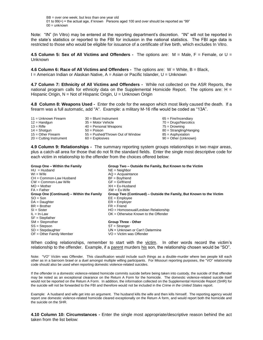BB = over one week; but less than one year old 01 to  $99(+)$  = the actual age, if known Persons aged 100 and over should be reported as "99" 00 = unknown

Note: "IN" (In Vitro) may be entered at the reporting department's discretion. "IN" will not be reported in the state's statistics or reported to the FBI for inclusion in the national statistics. The FBI age data is restricted to those who would be eligible for issuance of a certificate of live birth, which excludes In Vitro.

**4.5 Column 5: Sex of All Victims and Offenders -** The options are: M = Male, F = Female, or U = Unknown

**4.6 Column 6: Race of All Victims and Offenders -** The options are: W = White, B = Black, I = American Indian or Alaskan Native, A = Asian or Pacific Islander, U = Unknown

**4.7 Column 7: Ethnicity of All Victims and Offenders -** While not collected on the ASR Reports, the national program calls for ethnicity data on the Supplemental Homicide Report. The options are: H  $=$ Hispanic Origin, N = Not of Hispanic Origin, U = Unknown Origin

**4.8 Column 8: Weapons Used -** Enter the code for the weapon which most likely caused the death. If a firearm was a full automatic, add "A". Example: a military M-16 rifle would be coded as "13A".

| $11 =$ Unknown Firearm    | $30 =$ Blunt Instrument          | $65$ = Fire/Incendiary    |
|---------------------------|----------------------------------|---------------------------|
| $12 =$ Handgun            | $35$ = Motor Vehicle             | $70 = Drugs/Narcotics$    |
| $13 =$ Rifle              | $40$ = Personal Weapons          | 75 = Drowning             |
| $14 =$ Shotgun            | $50 = Poisson$                   | $80 =$ Strangling/Hanging |
| $15 =$ Other Firearm      | 55 = Pushed/Thrown Out of Window | 85 = Asphyxiation         |
| $20 =$ Cutting Instrument | $60 =$ Explosives                | $90 =$ Other (Unknown)    |

**4.9 Column 9: Relationships -** The summary reporting system groups relationships in two major areas, plus a catch-all area for those that do not fit the standard fields. Enter the single most descriptive code for each victim in relationship to the offender from the choices offered below:

| Group One - Within the Family             | Group Two - Outside the Family, But Known to the Victim             |
|-------------------------------------------|---------------------------------------------------------------------|
| $HU = Hushand$                            | $NE = Neichbor$                                                     |
| $WI = Wife$                               | $AQ = Acquaintance$                                                 |
| CH = Common-Law Husband                   | $BF = Boyfriend$                                                    |
| $CW = Common-Law$ Wife                    | $GF = Girlfriend$                                                   |
| $MO = Mother$                             | $XH = Ex-Husband$                                                   |
| $FA = Father$                             | $XW = Ex-Wife$                                                      |
| Group One (Continued) – Within the Family | Group Two (Continued) – Outside the Family, But Known to the Victim |
| $SO = Son$                                | $EE = Emplovee$                                                     |
| $DA = Daudhter$                           | $ER = Emplover$                                                     |
| $BR = Brother$                            | $FR =$ Friend                                                       |
| $SI = Sister$                             | HO = Homosexual/Lesbian Relationship                                |
| $IL = In-Law$                             | $OK = Otherwise$ Known to the Offender                              |
| $SF = Stepfather$                         |                                                                     |
| $SM = Stepmother$                         | <b>Group Three - Other</b>                                          |
| SS = Stepson                              | $ST =$ Stranger                                                     |
| $SD = Stepdauqhter$                       | UN = Unknown or Can't Determine                                     |
| $OF = Other Family Member$                | VO = Victim was Offender                                            |

When coding relationships, remember to start with the victim. In other words record the victim's relationship to the offender. Example, if a parent murders his son, the relationship chosen would be "SO".

Note: "VO" Victim was Offender. This classification would include such things as a double-murder where two people kill each other as in a barroom brawl or a duel amongst multiple willing participants. For Missouri reporting purposes, the "VO" relationship code should also be used when reporting domestic violence-related suicides.

If the offender in a domestic violence-related homicide commits suicide before being taken into custody, the suicide of that offender may be noted as an exceptional clearance on the Return A Form for the homicide. The domestic violence-related suicide itself would not be reported on the Return A Form. In addition, the information collected on the Supplemental Homicide Report (SHR) for the suicide will not be forwarded to the FBI and therefore would not be included in the *Crime in the United States* report.

Example: A husband and wife get into an argument. The husband kills the wife and then kills himself. The reporting agency would report one domestic violence-related homicide cleared exceptionally on the Return A form, and would report both the homicide and the suicide on the SHR.

**4.10 Column 10: Circumstances -** Enter the single most appropriate/descriptive reason behind the act taken from the list below: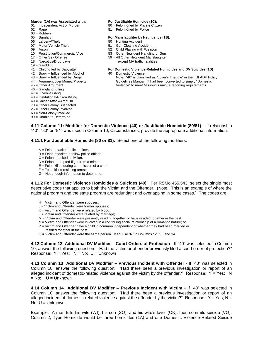### **Murder (1A) was Associated with: For Justifiable Homicide (1C):**

- 
- 
- 03 = Robbery
- 
- 
- 
- 
- 
- 
- $19 =$  Gambling
- 
- 
- $42 = \text{BrawI} \text{Influenced by Alcohol}$ <br> $43 = \text{BrawI} \text{Influenced by Drugs}$  Note: "40" is classi
- 
- 
- 46 = Gangland Killing
- 47 = Juvenile Gang
- 48 = Institutional/Prison Killing
- 49 = Sniper Attack/Ambush
- 70 = Other Felony Suspected
- 26 = Other Felony Involved
- 60 = Non-Felony Involved
- 99 = Unable to Determine

- 01 = Independent Act of Murder 80 = Felon Killed by Private Citizen
- $02 = \text{Rape}$  81 = Felon Killed by Police

### 05 = Burglary **For Manslaughter by Negligence (1B):**

- 06 = Larceny/Theft 50 = Hunting Accident
- $07$  = Motor Vehicle Theft  $51$  = Gun-Cleaning Accident
- $09 =$  Arson  $52 =$  Child Playing with Weapon
- 10 = Prostitution/Commercial Vice 53 = Other Negligent Handling of Gun
- $17 =$  Other Sex Offense 59 = All Other Negligent Manslaughter<br> $18 =$  Narcotics/Drug Laws except MV traffic fatalities.
	- except MV traffic fatalities,

### 41 = Child Killed by Babysitter **For Domestic Violence-Related Homicides and DV Suicides (1D)**

- 
- Note: "40" is classified as "Lover's Triangle" in the FBI ADP Policy 44 = Argument over Money/Property Guidelines Manual. It had been converted to simply "Domestic 45 = Other Argument Violence" to meet Missouri's unique reporting requirements.

**4.11 Column 11: Modifier for Domestic Violence (40) or Justifiable Homicide (80/81) –** If relationship "40", "80" or "81" was used in Column 10, Circumstances, provide the appropriate additional information.

**4.11.1 For Justifiable Homicide (80 or 81).** Select one of the following modifiers:

- $A =$  Felon attacked police officer.
- B = Felon attacked a fellow police officer,
- C = Felon attacked a civilian.
- $D =$  Felon attempted flight from a crime.
- $E =$  Felon killed during commission of a crime.
- $F =$  Felon killed resisting arrest.
- G = Not enough information to determine.

**4.11.2 For Domestic Violence Homicides & Suicides (40).** Per RSMo 455.543, select the single most descriptive code that applies to both the Victim and the Offender. (Note: This is an example of where the national program and the state program are redundant and overlapping in some cases.) The codes are:

- H = Victim and Offender were spouses;
- J = Victim and Offender were former spouses;
- $K =$  Victim and Offender were related by blood;
- $L =$  Victim and Offender were related by marriage;
- M = Victim and Offender were presently residing together or have resided together in the past;
- N = Victim and Offender were involved in a continuing social relationship of a romantic nature; or
- P = Victim and Offender have a child in common independent of whether they had been married or resided together in the past.
- $Q$  = Victim and Offender were the same person. If so, use "N" in Columns 12, 13, and 14.

**4.12 Column 12 Additional DV Modifier – Court Orders of Protection** *-* If "40" was selected in Column 10, answer the following question: "Had the victim or offender previously filed a court order of protection?" Response:  $Y = Yes$ ;  $N = No$ ;  $U = Unknown$ 

**4.13 Column 13 Additional DV Modifier – Previous Incident with Offender** *-* If "40" was selected in Column 10, answer the following question: "Had there been a previous investigation or report of an alleged incident of domestic-related violence against the victim by the offender?" Response:  $Y = Yes$ ; N  $=$  No:  $U =$  Unknown

**4.14 Column 14 Additional DV Modifier – Previous Incident with Victim** *-* If "40" was selected in Column 10, answer the following question: "Had there been a previous investigation or report of an alleged incident of domestic-related violence against the offender by the victim?" Response:  $Y = Yes$ ; N = No; U = Unknown

Example: A man kills his wife (WI), his son (SO), and his wife's lover (OK); then commits suicide (VO). Column 2, Type Homicide would be three homicides (1A) and one Domestic Violence-Related Suicide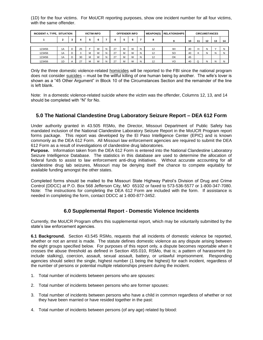(1D) for the four victims. For MoUCR reporting purposes, show one incident number for all four victims, with the same offender.

| INCIDENT #, TYPE, SITUATION | <b>VICTIM INFO</b> |    |                  |   | <b>OFFENDER INFO</b> |   |    |    |    | <b>WEAPON(S) RELATIONSHIPS</b> | <b>CIRCUMSTANCES</b> |               |    |   |   |   |   |
|-----------------------------|--------------------|----|------------------|---|----------------------|---|----|----|----|--------------------------------|----------------------|---------------|----|---|---|---|---|
|                             | າ                  | -3 | 5<br>6<br>6<br>5 |   | 8                    | 9 | 10 | 11 | 12 | 13                             | 14                   |               |    |   |   |   |   |
|                             |                    |    |                  |   |                      |   |    |    |    |                                |                      |               |    |   |   |   |   |
| 123456                      | 1A                 | D  | 25               | Е | W                    | N | 27 | M  | W  | N                              | 12                   | WI            | 40 | н | N |   |   |
| 123456                      | 1A                 | D  | $\sim$<br>ъD     | M | W                    | N | 27 | M  | W  | N                              | 12                   | <sub>SO</sub> | 40 | ĸ | N | N | N |
| 123456                      | 1A                 | D  | 30               | M | W                    | N | 27 | M  | W  | N                              | 12                   | OK            | 45 |   |   |   |   |
| 123456                      | 1D                 |    | 27               | M | W                    | N | 27 | м  | W  | N                              | 12                   | VO            | 40 |   | N | N |   |

Only the three domestic violence-related homicides will be reported to the FBI since the national program does not consider suicides – must be the willful killing of one human being by another. The wife's lover is shown as a "45 Other Argument" in Block 10 of the Circumstances Section and the remainder of the line is left blank.

Note: In a domestic violence-related suicide where the victim was the offender, Columns 12, 13, and 14 should be completed with "N" for No.

### **5.0 The National Clandestine Drug Laboratory Seizure Report – DEA 612 Form**

Under authority granted in 43.505 RSMo, the Director, Missouri Department of Public Safety has mandated inclusion of the National Clandestine Laboratory Seizure Report in the MoUCR Program report forms package. This report was developed by the El Paso Intelligence Center (EPIC) and is known commonly as the DEA 612 Form. All Missouri law enforcement agencies are required to submit the DEA 612 Form as a result of investigations of clandestine drug laboratories.

**Purpose.** Information taken from the DEA 612 Form is entered into the National Clandestine Laboratory Seizure Intelligence Database. The statistics in this database are used to determine the allocation of federal funds to assist to law enforcement anti-drug initiatives. Without accurate accounting for all clandestine drug lab seizures, Missouri may be denying itself the chance to compete equitably for available funding amongst the other states.

Completed forms should be mailed to the Missouri State Highway Patrol's Division of Drug and Crime Control (DDCC) at P.O. Box 568 Jefferson City, MO 65102 or faxed to 573-536-5577 or 1-800-347-7080. Note: The instructions for completing the DEA 612 Form are included with the form. If assistance is needed in completing the form, contact DDCC at 1-800-877-3452.

### **6.0 Supplemental Report - Domestic Violence Incidents**

Currently, the MoUCR Program offers this supplemental report, which may be voluntarily submitted by the state's law enforcement agencies.

**6.1 Background.** Section 43.545 RSMo, requests that all incidents of domestic violence be reported, whether or not an arrest is made. The statute defines domestic violence as any dispute arising between the eight groups specified below. For purposes of this report only, a dispute becomes reportable when it crosses the abuse threshold as defined in Section 455.010, RSMo, that is; a pattern of harassment (to include stalking), coercion, assault, sexual assault, battery, or unlawful imprisonment. Responding agencies should select the single, highest number (1 being the highest) for each incident, regardless of the number of persons or potential multiple relationships present during the incident.

- 1. Total number of incidents between persons who are spouses:
- 2. Total number of incidents between persons who are former spouses:
- 3. Total number of incidents between persons who have a child in common regardless of whether or not they have been married or have resided together in the past:
- 4. Total number of incidents between persons (of any age) related by blood: